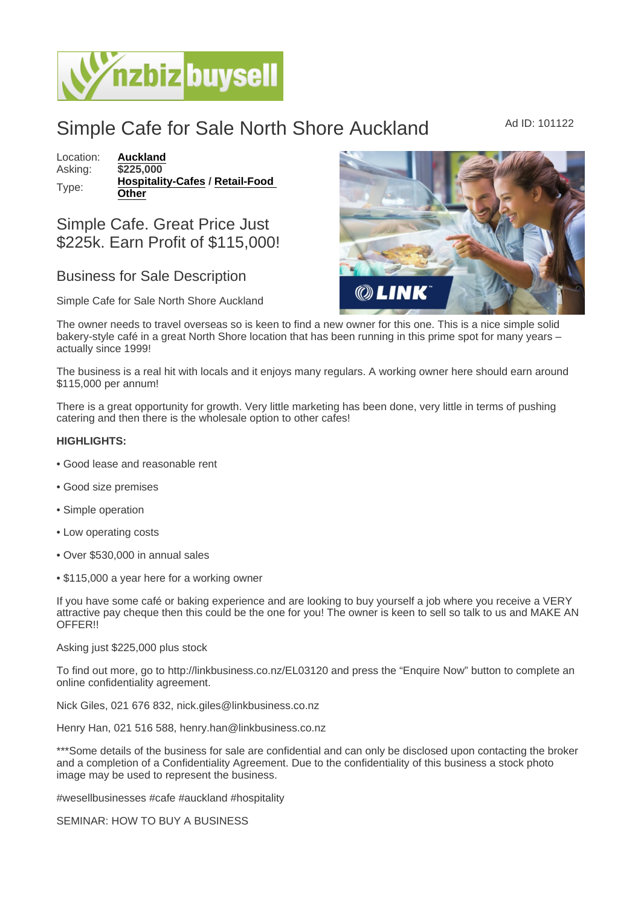## Simple Cafe for Sale North Shore Auckland Ad ID: 101122

Location: [Auckland](https://www.nzbizbuysell.co.nz/businesses-for-sale/location/Auckland) Asking: \$225,000 Type: [Hospitality-Cafes](https://www.nzbizbuysell.co.nz/businesses-for-sale/Cafes/New-Zealand) / Retail-Food **[Other](https://www.nzbizbuysell.co.nz/businesses-for-sale/Retail-Food--Beverage/New-Zealand)** 

Simple Cafe. Great Price Just \$225k. Earn Profit of \$115,000!

## Business for Sale Description

Simple Cafe for Sale North Shore Auckland

The owner needs to travel overseas so is keen to find a new owner for this one. This is a nice simple solid bakery-style café in a great North Shore location that has been running in this prime spot for many years – actually since 1999!

The business is a real hit with locals and it enjoys many regulars. A working owner here should earn around \$115,000 per annum!

There is a great opportunity for growth. Very little marketing has been done, very little in terms of pushing catering and then there is the wholesale option to other cafes!

HIGHLIGHTS:

- Good lease and reasonable rent
- Good size premises
- Simple operation
- Low operating costs
- Over \$530,000 in annual sales
- \$115,000 a year here for a working owner

If you have some café or baking experience and are looking to buy yourself a job where you receive a VERY attractive pay cheque then this could be the one for you! The owner is keen to sell so talk to us and MAKE AN OFFER!!

Asking just \$225,000 plus stock

To find out more, go to http://linkbusiness.co.nz/EL03120 and press the "Enquire Now" button to complete an online confidentiality agreement.

Nick Giles, 021 676 832, nick.giles@linkbusiness.co.nz

Henry Han, 021 516 588, henry.han@linkbusiness.co.nz

\*\*\*Some details of the business for sale are confidential and can only be disclosed upon contacting the broker and a completion of a Confidentiality Agreement. Due to the confidentiality of this business a stock photo image may be used to represent the business.

#wesellbusinesses #cafe #auckland #hospitality

SEMINAR: HOW TO BUY A BUSINESS